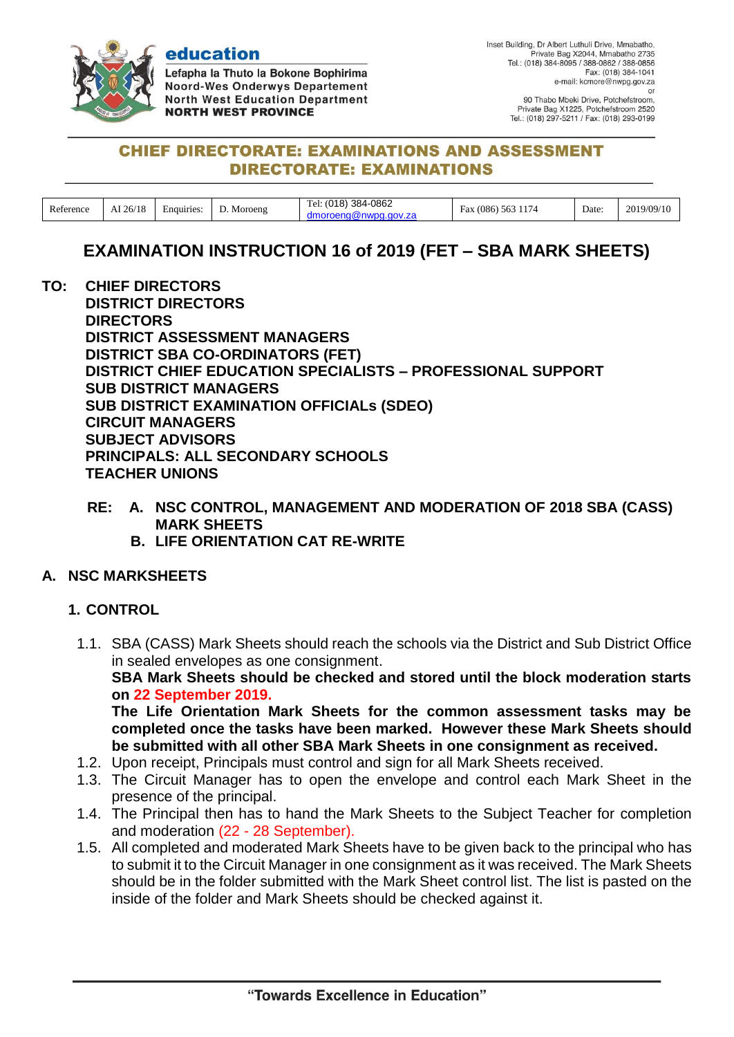

education Lefapha la Thuto la Bokone Bophirima **Noord-Wes Onderwys Departement North West Education Department NORTH WEST PROVINCE** 

90 Thabo Mbeki Drive, Potchefstroom,<br>Private Bag X1225, Potchefstroom 2520 Tel.: (018) 297-5211 / Fax: (018) 293-0199

#### **CHIEF DIRECTORATE: EXAMINATIONS AND ASSESSMENT DIRECTORATE: EXAMINATIONS**

| Reference | AI 26/18 | -<br>Enquiries: | Moroeng | : (018) 384-0862<br>Tel: $($<br>oroeng@nwpg.gov.za | Fax (086) 563 | Date: | 2019/09/10 |
|-----------|----------|-----------------|---------|----------------------------------------------------|---------------|-------|------------|

## **EXAMINATION INSTRUCTION 16 of 2019 (FET – SBA MARK SHEETS)**

- **TO: CHIEF DIRECTORS DISTRICT DIRECTORS DIRECTORS DISTRICT ASSESSMENT MANAGERS DISTRICT SBA CO-ORDINATORS (FET) DISTRICT CHIEF EDUCATION SPECIALISTS – PROFESSIONAL SUPPORT SUB DISTRICT MANAGERS SUB DISTRICT EXAMINATION OFFICIALs (SDEO) CIRCUIT MANAGERS SUBJECT ADVISORS PRINCIPALS: ALL SECONDARY SCHOOLS TEACHER UNIONS**
	- **RE: A. NSC CONTROL, MANAGEMENT AND MODERATION OF 2018 SBA (CASS) MARK SHEETS**
		- **B. LIFE ORIENTATION CAT RE-WRITE**

#### **A. NSC MARKSHEETS**

#### **1. CONTROL**

1.1. SBA (CASS) Mark Sheets should reach the schools via the District and Sub District Office in sealed envelopes as one consignment.

**SBA Mark Sheets should be checked and stored until the block moderation starts on 22 September 2019.**

**The Life Orientation Mark Sheets for the common assessment tasks may be completed once the tasks have been marked. However these Mark Sheets should be submitted with all other SBA Mark Sheets in one consignment as received.**

- 1.2. Upon receipt, Principals must control and sign for all Mark Sheets received.
- 1.3. The Circuit Manager has to open the envelope and control each Mark Sheet in the presence of the principal.
- 1.4. The Principal then has to hand the Mark Sheets to the Subject Teacher for completion and moderation (22 - 28 September).
- 1.5. All completed and moderated Mark Sheets have to be given back to the principal who has to submit it to the Circuit Manager in one consignment as it was received. The Mark Sheets should be in the folder submitted with the Mark Sheet control list. The list is pasted on the inside of the folder and Mark Sheets should be checked against it.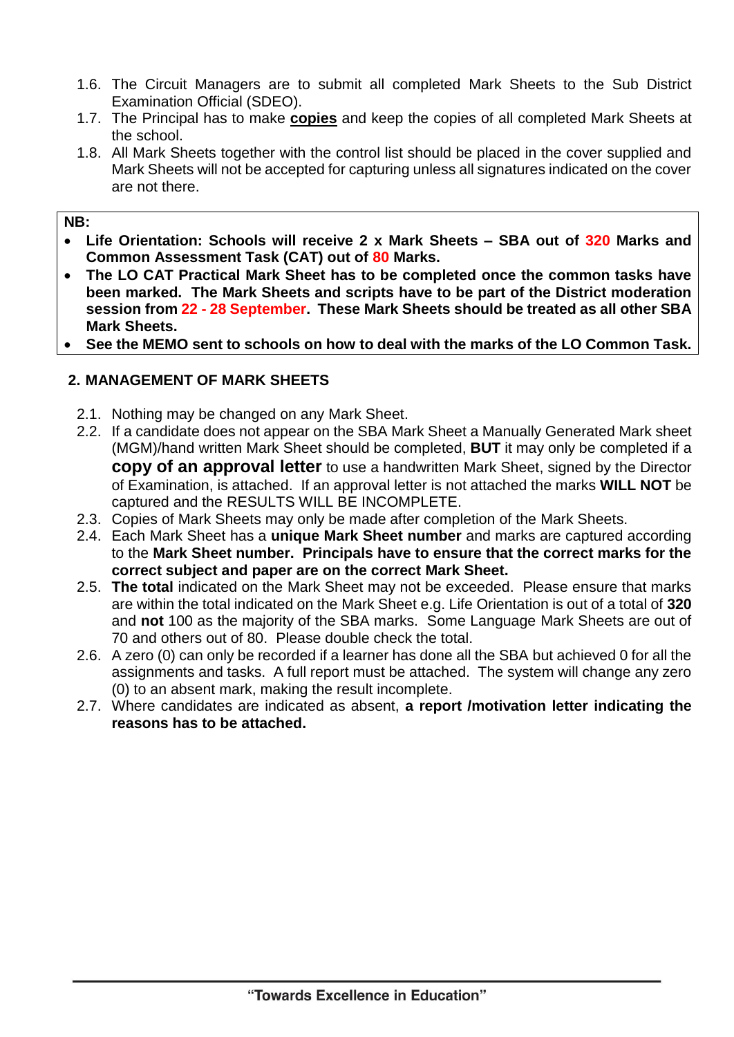- 1.6. The Circuit Managers are to submit all completed Mark Sheets to the Sub District Examination Official (SDEO).
- 1.7. The Principal has to make **copies** and keep the copies of all completed Mark Sheets at the school.
- 1.8. All Mark Sheets together with the control list should be placed in the cover supplied and Mark Sheets will not be accepted for capturing unless all signatures indicated on the cover are not there.

#### **NB:**

- **Life Orientation: Schools will receive 2 x Mark Sheets – SBA out of 320 Marks and Common Assessment Task (CAT) out of 80 Marks.**
- **The LO CAT Practical Mark Sheet has to be completed once the common tasks have been marked. The Mark Sheets and scripts have to be part of the District moderation session from 22 - 28 September. These Mark Sheets should be treated as all other SBA Mark Sheets.**
- **See the MEMO sent to schools on how to deal with the marks of the LO Common Task.**

## **2. MANAGEMENT OF MARK SHEETS**

- 2.1. Nothing may be changed on any Mark Sheet.
- 2.2. If a candidate does not appear on the SBA Mark Sheet a Manually Generated Mark sheet (MGM)/hand written Mark Sheet should be completed, **BUT** it may only be completed if a **copy of an approval letter** to use a handwritten Mark Sheet, signed by the Director of Examination, is attached. If an approval letter is not attached the marks **WILL NOT** be captured and the RESULTS WILL BE INCOMPLETE.
- 2.3. Copies of Mark Sheets may only be made after completion of the Mark Sheets.
- 2.4. Each Mark Sheet has a **unique Mark Sheet number** and marks are captured according to the **Mark Sheet number. Principals have to ensure that the correct marks for the correct subject and paper are on the correct Mark Sheet.**
- 2.5. **The total** indicated on the Mark Sheet may not be exceeded. Please ensure that marks are within the total indicated on the Mark Sheet e.g. Life Orientation is out of a total of **320** and **not** 100 as the majority of the SBA marks. Some Language Mark Sheets are out of 70 and others out of 80. Please double check the total.
- 2.6. A zero (0) can only be recorded if a learner has done all the SBA but achieved 0 for all the assignments and tasks. A full report must be attached. The system will change any zero (0) to an absent mark, making the result incomplete.
- 2.7. Where candidates are indicated as absent, **a report /motivation letter indicating the reasons has to be attached.**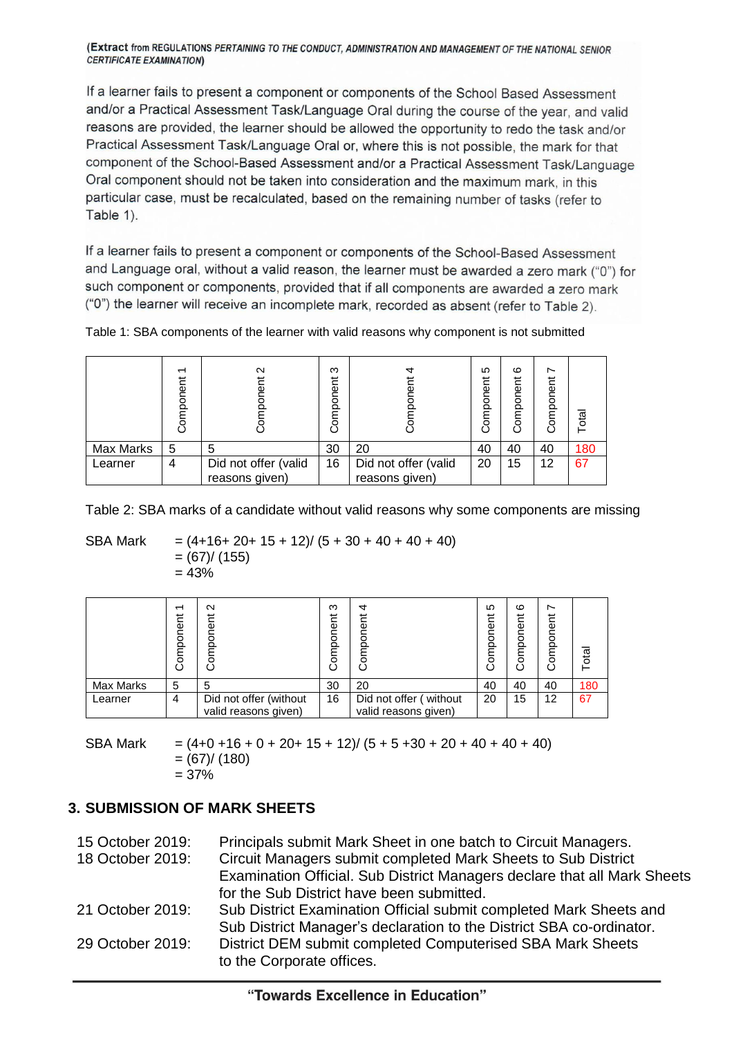(Extract from REGULATIONS PERTAINING TO THE CONDUCT, ADMINISTRATION AND MANAGEMENT OF THE NATIONAL SENIOR **CERTIFICATE EXAMINATION)** 

If a learner fails to present a component or components of the School Based Assessment and/or a Practical Assessment Task/Language Oral during the course of the year, and valid reasons are provided, the learner should be allowed the opportunity to redo the task and/or Practical Assessment Task/Language Oral or, where this is not possible, the mark for that component of the School-Based Assessment and/or a Practical Assessment Task/Language Oral component should not be taken into consideration and the maximum mark, in this particular case, must be recalculated, based on the remaining number of tasks (refer to Table 1).

If a learner fails to present a component or components of the School-Based Assessment and Language oral, without a valid reason, the learner must be awarded a zero mark ("0") for such component or components, provided that if all components are awarded a zero mark ("0") the learner will receive an incomplete mark, recorded as absent (refer to Table 2).

|           | ᅮ<br>Component | $\mathbf{\Omega}$<br>ወ                 | ო<br>Component | ξ<br>pone<br>등                         | 5<br>Ĕ<br>pone<br>등 | ဖ<br>Component | $\overline{\phantom{0}}$<br>Component | otal |
|-----------|----------------|----------------------------------------|----------------|----------------------------------------|---------------------|----------------|---------------------------------------|------|
| Max Marks | 5              | 5                                      | 30             | 20                                     | 40                  | 40             | 40                                    | 180  |
| Learner   | 4              | Did not offer (valid<br>reasons given) | 16             | Did not offer (valid<br>reasons given) | 20                  | 15             | 12                                    | 67   |

Table 1: SBA components of the learner with valid reasons why component is not submitted

Table 2: SBA marks of a candidate without valid reasons why some components are missing

SBA Mark =  $(4+16+20+15+12)/(5+30+40+40+40)$  $= (67)/(155)$  $= 43%$ 

|           | $\overline{\phantom{0}}$<br>だ<br>ene<br>S<br>pa | $\mathbf{\Omega}$<br>だ<br>Φ                    | ო<br>Ĕ<br>Φ<br>ਠ<br>۵<br>능 | ෑ<br>⊭                                         | 5<br>Ĕ<br>ompone<br>Ö | $\circ$<br>Ĕ<br>ompone<br>ပ | $\overline{\phantom{0}}$<br>onent<br>pe<br>Ω | ថ<br>ប |
|-----------|-------------------------------------------------|------------------------------------------------|----------------------------|------------------------------------------------|-----------------------|-----------------------------|----------------------------------------------|--------|
| Max Marks | 5                                               |                                                | 30                         | 20                                             | 40                    | 40                          | 40                                           | 180    |
| Learner   | 4                                               | Did not offer (without<br>valid reasons given) | 16                         | Did not offer (without<br>valid reasons given) | 20                    | 15                          | 12                                           | 67     |

SBA Mark  $= (4+0+16+0+20+15+12)/(5+5+30+20+40+40+40)$  $= (67)/(180)$  $= 37%$ 

## **3. SUBMISSION OF MARK SHEETS**

| 15 October 2019:<br>18 October 2019: | Principals submit Mark Sheet in one batch to Circuit Managers.<br>Circuit Managers submit completed Mark Sheets to Sub District<br>Examination Official. Sub District Managers declare that all Mark Sheets<br>for the Sub District have been submitted. |
|--------------------------------------|----------------------------------------------------------------------------------------------------------------------------------------------------------------------------------------------------------------------------------------------------------|
| 21 October 2019:                     | Sub District Examination Official submit completed Mark Sheets and<br>Sub District Manager's declaration to the District SBA co-ordinator.                                                                                                               |
| 29 October 2019:                     | District DEM submit completed Computerised SBA Mark Sheets<br>to the Corporate offices.                                                                                                                                                                  |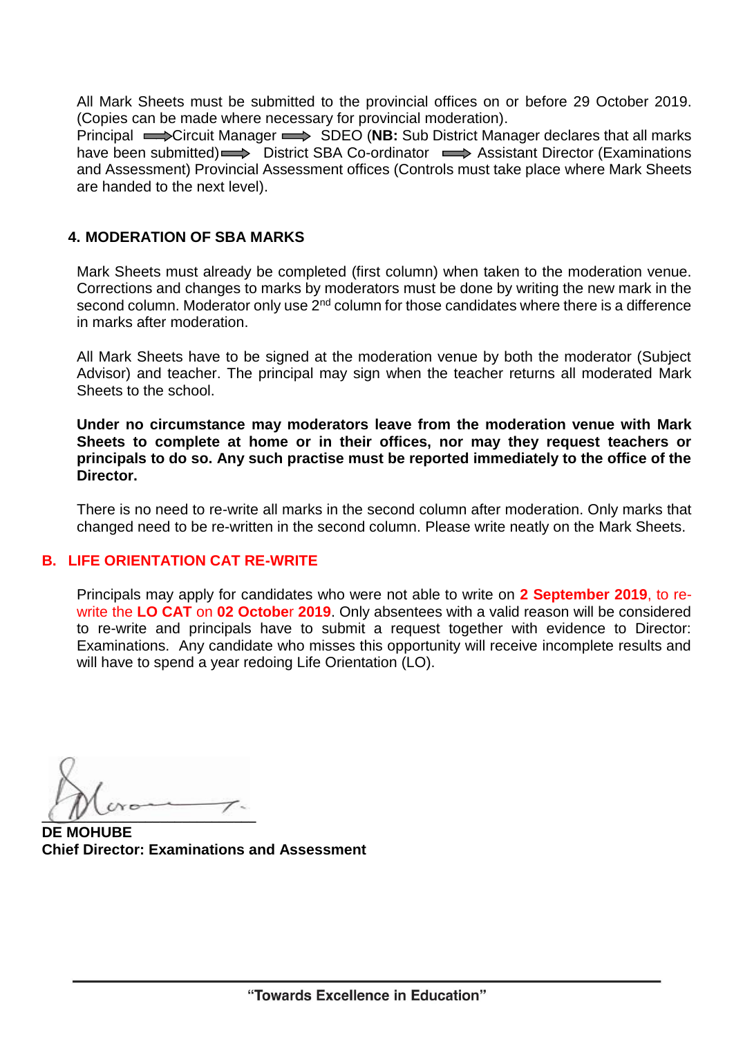All Mark Sheets must be submitted to the provincial offices on or before 29 October 2019. (Copies can be made where necessary for provincial moderation).

Principal → Circuit Manager → SDEO (NB: Sub District Manager declares that all marks have been submitted)  $\longrightarrow$  District SBA Co-ordinator  $\longrightarrow$  Assistant Director (Examinations and Assessment) Provincial Assessment offices (Controls must take place where Mark Sheets are handed to the next level).

#### **4. MODERATION OF SBA MARKS**

Mark Sheets must already be completed (first column) when taken to the moderation venue. Corrections and changes to marks by moderators must be done by writing the new mark in the second column. Moderator only use  $2<sup>nd</sup>$  column for those candidates where there is a difference in marks after moderation.

All Mark Sheets have to be signed at the moderation venue by both the moderator (Subject Advisor) and teacher. The principal may sign when the teacher returns all moderated Mark Sheets to the school.

**Under no circumstance may moderators leave from the moderation venue with Mark Sheets to complete at home or in their offices, nor may they request teachers or principals to do so. Any such practise must be reported immediately to the office of the Director.**

There is no need to re-write all marks in the second column after moderation. Only marks that changed need to be re-written in the second column. Please write neatly on the Mark Sheets.

#### **B. LIFE ORIENTATION CAT RE-WRITE**

Principals may apply for candidates who were not able to write on **2 September 2019**, to rewrite the **LO CAT** on **02 Octobe**r **2019**. Only absentees with a valid reason will be considered to re-write and principals have to submit a request together with evidence to Director: Examinations. Any candidate who misses this opportunity will receive incomplete results and will have to spend a year redoing Life Orientation (LO).

 $\overline{u}$ 

**DE MOHUBE Chief Director: Examinations and Assessment**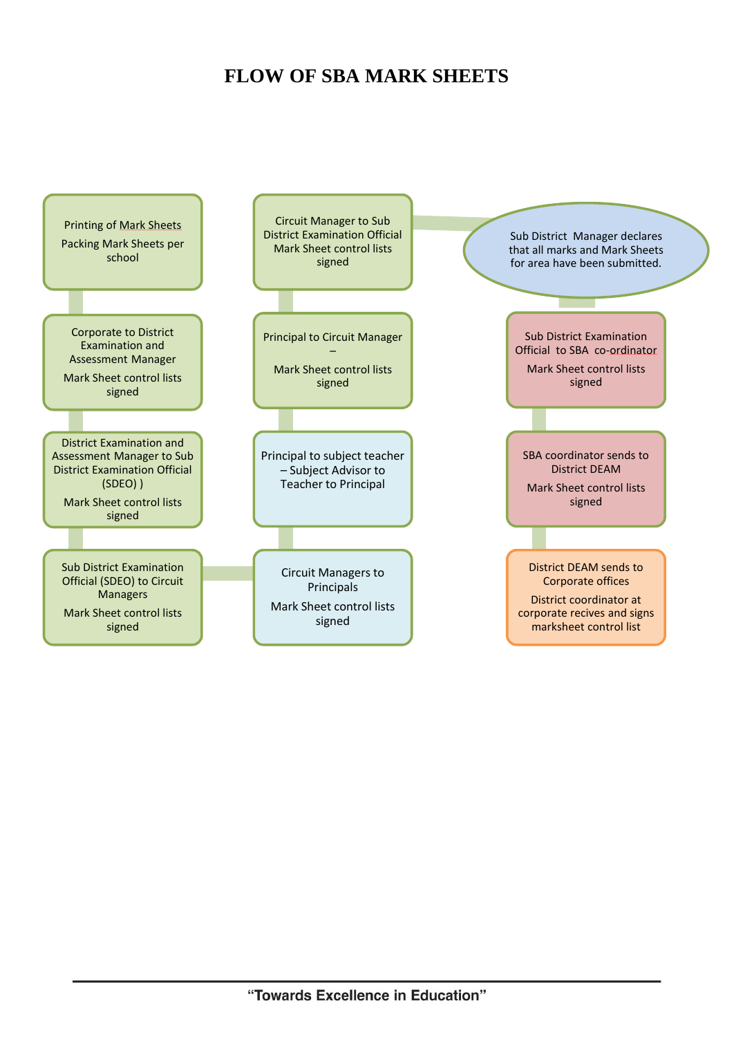# **FLOW OF SBA MARK SHEETS**

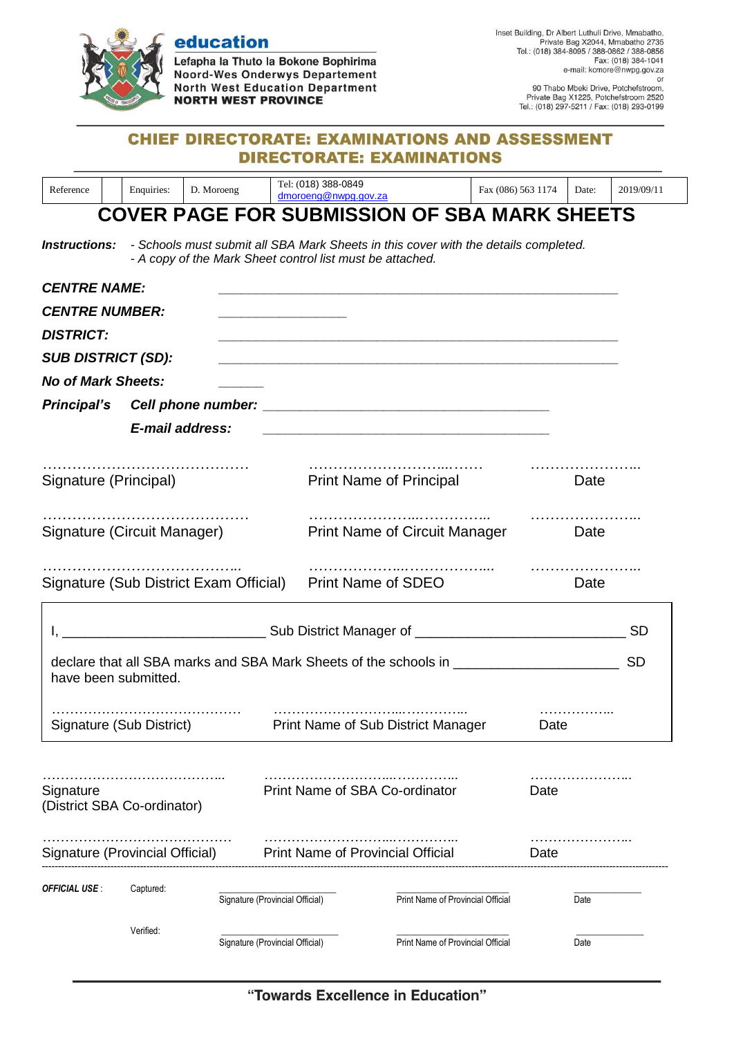

education

Lefapha la Thuto la Bokone Bophirima Noord-Wes Onderwys Departement **North West Education Department NORTH WEST PROVINCE** 

e-mail: kcmore@niwpg.gov.zer<br>
90 Thabo Mbeki Drive, Potchefstroom,<br>
Private Bag X1225, Potchefstroom 2520<br>
Tel.: (018) 297-5211 / Fax: (018) 293-0199

#### **CHIEF DIRECTORATE: EXAMINATIONS AND ASSESSMENT DIRECTORATE: EXAMINATIONS**

| Reference                                           |  | Enquiries: | D. Moroeng | Tel: (018) 388-0849<br>dmoroeng@nwpg.gov.za | Fax (086) 563 1174 | Date: | 2019/09/11 |
|-----------------------------------------------------|--|------------|------------|---------------------------------------------|--------------------|-------|------------|
| <b>COVER PAGE FOR SUBMISSION OF SBA MARK SHEETS</b> |  |            |            |                                             |                    |       |            |

*Instructions: - Schools must submit all SBA Mark Sheets in this cover with the details completed. - A copy of the Mark Sheet control list must be attached.*

| <b>CENTRE NAME:</b><br><b>CENTRE NUMBER:</b><br><b>DISTRICT:</b><br><b>SUB DISTRICT (SD):</b><br><b>No of Mark Sheets:</b> |                                        |                                 |                                                                                                                                                                |             |           |
|----------------------------------------------------------------------------------------------------------------------------|----------------------------------------|---------------------------------|----------------------------------------------------------------------------------------------------------------------------------------------------------------|-------------|-----------|
|                                                                                                                            | E-mail address:                        |                                 |                                                                                                                                                                |             |           |
| Signature (Principal)                                                                                                      |                                        |                                 | <b>Print Name of Principal</b>                                                                                                                                 | Date        |           |
|                                                                                                                            | Signature (Circuit Manager)            |                                 | <b>Print Name of Circuit Manager</b>                                                                                                                           | <b>Date</b> |           |
|                                                                                                                            | Signature (Sub District Exam Official) |                                 | <b>Print Name of SDEO</b>                                                                                                                                      | Date        |           |
| have been submitted.                                                                                                       |                                        |                                 | I, 1. 2008 2010 Sub District Manager of 2008 2010 2010 2010 12:00 SD<br>declare that all SBA marks and SBA Mark Sheets of the schools in _____________________ |             | <b>SD</b> |
|                                                                                                                            |                                        |                                 | Signature (Sub District) Print Name of Sub District Manager                                                                                                    | Date        |           |
| Signature<br>(District SBA Co-ordinator)                                                                                   |                                        |                                 | Print Name of SBA Co-ordinator                                                                                                                                 | Date        |           |
|                                                                                                                            | Signature (Provincial Official)        |                                 | <b>Print Name of Provincial Official</b>                                                                                                                       | .<br>Date   |           |
| <b>OFFICIAL USE:</b>                                                                                                       | Captured:                              | Signature (Provincial Official) | Print Name of Provincial Official                                                                                                                              | Date        |           |
|                                                                                                                            | Verified:                              | Signature (Provincial Official) | Print Name of Provincial Official                                                                                                                              | Date        |           |